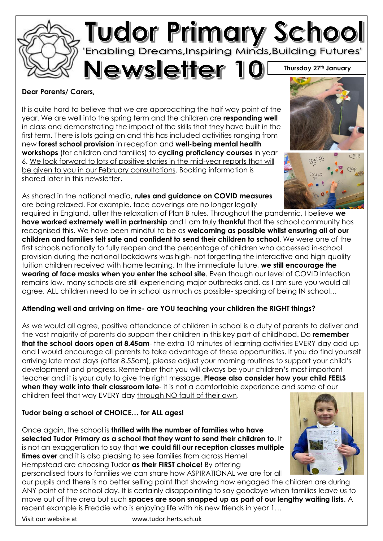

#### **Dear Parents/ Carers,**

It is quite hard to believe that we are approaching the half way point of the year. We are well into the spring term and the children are **responding well** in class and demonstrating the impact of the skills that they have built in the first term. There is lots going on and this has included activities ranging from new **forest school provision** in reception and **well-being mental health workshops** (for children and families) to **cycling proficiency courses** in year 6. We look forward to lots of positive stories in the mid-year reports that will be given to you in our February consultations. Booking information is shared later in this newsletter.

As shared in the national media, **rules and guidance on COVID measures** are being relaxed. For example, face coverings are no longer legally

required in England, after the relaxation of Plan B rules. Throughout the pandemic, I believe **we have worked extremely well in partnership** and I am truly **thankful** that the school community has recognised this. We have been mindful to be as **welcoming as possible whilst ensuring all of our children and families felt safe and confident to send their children to school**. We were one of the first schools nationally to fully reopen and the percentage of children who accessed in-school provision during the national lockdowns was high- not forgetting the interactive and high quality tuition children received with home learning. In the immediate future, **we still encourage the wearing of face masks when you enter the school site**. Even though our level of COVID infection remains low, many schools are still experiencing major outbreaks and, as I am sure you would all agree, ALL children need to be in school as much as possible- speaking of being IN school…

# **Attending well and arriving on time- are YOU teaching your children the RIGHT things?**

As we would all agree, positive attendance of children in school is a duty of parents to deliver and the vast majority of parents do support their children in this key part of childhood. Do **remember that the school doors open at 8.45am**- the extra 10 minutes of learning activities EVERY day add up and I would encourage all parents to take advantage of these opportunities. If you do find yourself arriving late most days (after 8.55am), please adjust your morning routines to support your child's development and progress. Remember that you will always be your children's most important teacher and it is your duty to give the right message. **Please also consider how your child FEELS when they walk into their classroom late**- it is not a comfortable experience and some of our children feel that way EVERY day through NO fault of their own.

# **Tudor being a school of CHOICE… for ALL ages!**

Once again, the school is **thrilled with the number of families who have selected Tudor Primary as a school that they want to send their children to**. It is not an exaggeration to say that **we could fill our reception classes multiple times over** and it is also pleasing to see families from across Hemel Hempstead are choosing Tudor **as their FIRST choice!** By offering personalised tours to families we can share how ASPIRATIONAL we are for all



our pupils and there is no better selling point that showing how engaged the children are during ANY point of the school day. It is certainly disappointing to say goodbye when families leave us to move out of the area but such **spaces are soon snapped up as part of our lengthy waiting lists**. A recent example is Freddie who is enjoying life with his new friends in year 1…

Visit our website at www.tudor.herts.sch.uk